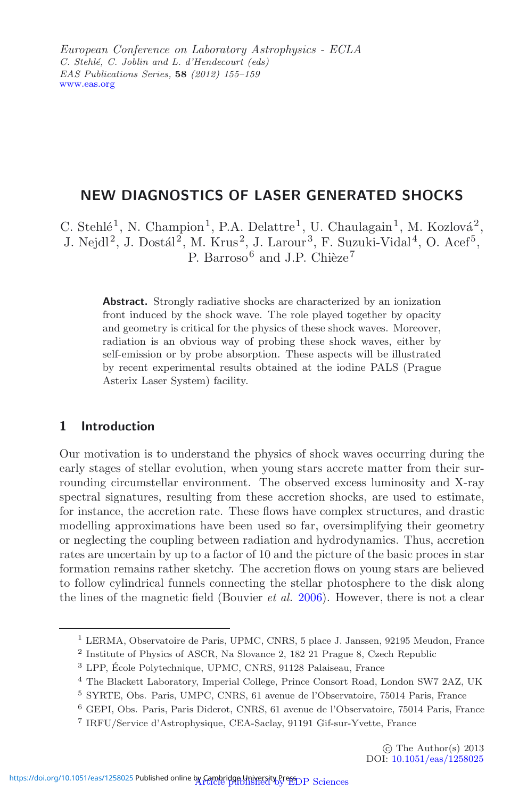European Conference on Laboratory Astrophysics - ECLA *C. Stehlé, C. Joblin and L. d'Hendecourt (eds) EAS Publications Series,* **58** *(2012) 155–159* [www.eas.org](http://www.eas.org)

# **NEW DIAGNOSTICS OF LASER GENERATED SHOCKS**

C. Stehlé<sup>1</sup>, N. Champion<sup>1</sup>, P.A. Delattre<sup>1</sup>, U. Chaulagain<sup>1</sup>, M. Kozlová<sup>2</sup>, J. Nejdl<sup>2</sup>, J. Dostál<sup>2</sup>, M. Krus<sup>2</sup>, J. Larour<sup>3</sup>, F. Suzuki-Vidal<sup>4</sup>, O. Acef<sup>5</sup>, P. Barroso<sup>6</sup> and J.P. Chièze<sup>7</sup>

**Abstract.** Strongly radiative shocks are characterized by an ionization front induced by the shock wave. The role played together by opacity and geometry is critical for the physics of these shock waves. Moreover, radiation is an obvious way of probing these shock waves, either by self-emission or by probe absorption. These aspects will be illustrated by recent experimental results obtained at the iodine PALS (Prague Asterix Laser System) facility.

# **1 Introduction**

Our motivation is to understand the physics of shock waves occurring during the early stages of stellar evolution, when young stars accrete matter from their surrounding circumstellar environment. The observed excess luminosity and X-ray spectral signatures, resulting from these accretion shocks, are used to estimate, for instance, the accretion rate. These flows have complex structures, and drastic modelling approximations have been used so far, oversimplifying their geometry or neglecting the coupling between radiation and hydrodynamics. Thus, accretion rates are uncertain by up to a factor of 10 and the picture of the basic proces in star formation remains rather sketchy. The accretion flows on young stars are believed to follow cylindrical funnels connecting the stellar photosphere to the disk along the lines of the magnetic field (Bouvier *et al.* [2006\)](#page-4-0). However, there is not a clear

 $^{\rm 1}$  LERMA, Observatoire de Paris, UPMC, CNRS, 5 place J. Janssen, 92195 Meudon, France

<sup>2</sup> Institute of Physics of ASCR, Na Slovance 2, 182 21 Prague 8, Czech Republic

<sup>&</sup>lt;sup>3</sup> LPP, École Polytechnique, UPMC, CNRS, 91128 Palaiseau, France

<sup>4</sup> The Blackett Laboratory, Imperial College, Prince Consort Road, London SW7 2AZ, UK

<sup>5</sup> SYRTE, Obs. Paris, UMPC, CNRS, 61 avenue de l'Observatoire, 75014 Paris, France

<sup>6</sup> GEPI, Obs. Paris, Paris Diderot, CNRS, 61 avenue de l'Observatoire, 75014 Paris, France

<sup>7</sup> IRFU/Service d'Astrophysique, CEA-Saclay, 91191 Gif-sur-Yvette, France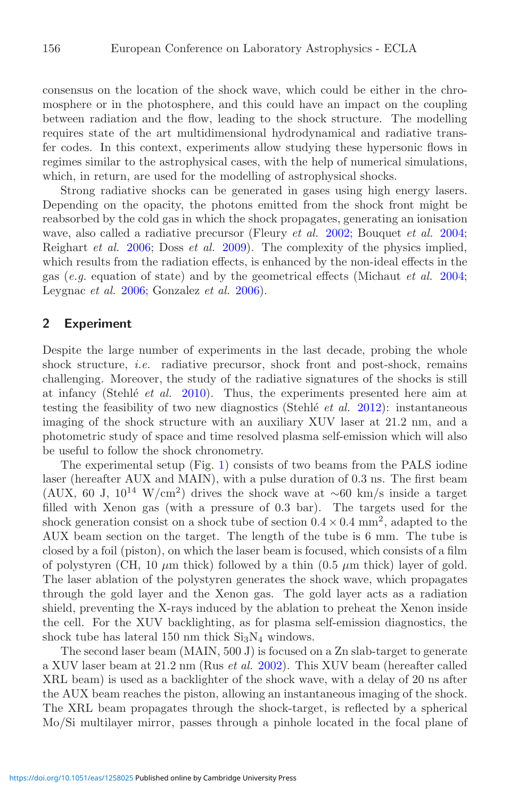consensus on the location of the shock wave, which could be either in the chromosphere or in the photosphere, and this could have an impact on the coupling between radiation and the flow, leading to the shock structure. The modelling requires state of the art multidimensional hydrodynamical and radiative transfer codes. In this context, experiments allow studying these hypersonic flows in regimes similar to the astrophysical cases, with the help of numerical simulations, which, in return, are used for the modelling of astrophysical shocks.

Strong radiative shocks can be generated in gases using high energy lasers. Depending on the opacity, the photons emitted from the shock front might be reabsorbed by the cold gas in which the shock propagates, generating an ionisation wave, also called a radiative precursor (Fleury *et al.* [2002;](#page-4-1) Bouquet *et al.* [2004](#page-4-2); Reighart *et al.* [2006;](#page-4-3) Doss *et al.* [2009\)](#page-4-4). The complexity of the physics implied, which results from the radiation effects, is enhanced by the non-ideal effects in the gas (*e.g.* equation of state) and by the geometrical effects (Michaut *et al.* [2004](#page-4-5); Leygnac *et al.* [2006](#page-4-6); Gonzalez *et al.* [2006\)](#page-4-7).

### **2 Experiment**

Despite the large number of experiments in the last decade, probing the whole shock structure, *i.e.* radiative precursor, shock front and post-shock, remains challenging. Moreover, the study of the radiative signatures of the shocks is still at infancy (Stehl´e *et al.* [2010\)](#page-4-8). Thus, the experiments presented here aim at testing the feasibility of two new diagnostics (Stehl´e *et al.* [2012](#page-4-9)): instantaneous imaging of the shock structure with an auxiliary XUV laser at 21.2 nm, and a photometric study of space and time resolved plasma self-emission which will also be useful to follow the shock chronometry.

The experimental setup (Fig. [1\)](#page-2-0) consists of two beams from the PALS iodine laser (hereafter AUX and MAIN), with a pulse duration of 0.3 ns. The first beam (AUX, 60 J,  $10^{14}$  W/cm<sup>2</sup>) drives the shock wave at ~60 km/s inside a target filled with Xenon gas (with a pressure of 0.3 bar). The targets used for the shock generation consist on a shock tube of section  $0.4 \times 0.4$  mm<sup>2</sup>, adapted to the AUX beam section on the target. The length of the tube is 6 mm. The tube is closed by a foil (piston), on which the laser beam is focused, which consists of a film of polystyren (CH, 10  $\mu$ m thick) followed by a thin (0.5  $\mu$ m thick) layer of gold. The laser ablation of the polystyren generates the shock wave, which propagates through the gold layer and the Xenon gas. The gold layer acts as a radiation shield, preventing the X-rays induced by the ablation to preheat the Xenon inside the cell. For the XUV backlighting, as for plasma self-emission diagnostics, the shock tube has lateral 150 nm thick  $Si<sub>3</sub>N<sub>4</sub>$  windows.

The second laser beam (MAIN, 500 J) is focused on a Zn slab-target to generate a XUV laser beam at 21.2 nm (Rus *et al.* [2002\)](#page-4-10). This XUV beam (hereafter called XRL beam) is used as a backlighter of the shock wave, with a delay of 20 ns after the AUX beam reaches the piston, allowing an instantaneous imaging of the shock. The XRL beam propagates through the shock-target, is reflected by a spherical Mo/Si multilayer mirror, passes through a pinhole located in the focal plane of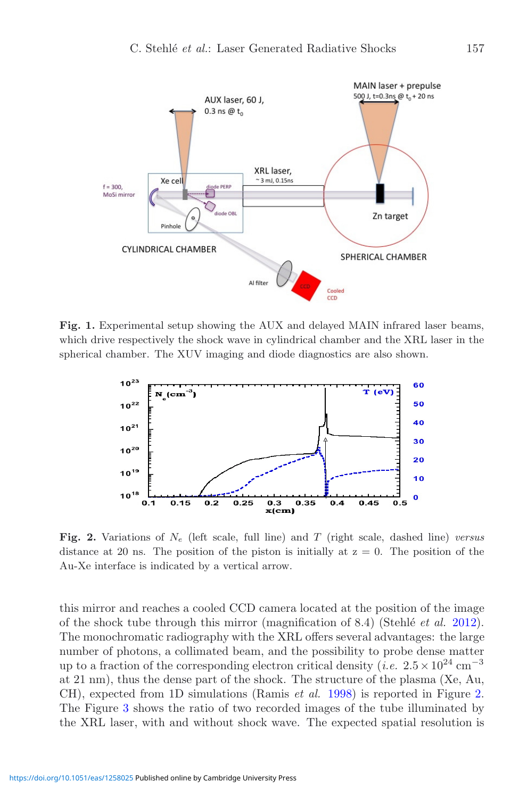<span id="page-2-0"></span>

<span id="page-2-1"></span>**Fig. 1.** Experimental setup showing the AUX and delayed MAIN infrared laser beams, which drive respectively the shock wave in cylindrical chamber and the XRL laser in the spherical chamber. The XUV imaging and diode diagnostics are also shown.



**Fig. 2.** Variations of *<sup>N</sup><sup>e</sup>* (left scale, full line) and *<sup>T</sup>* (right scale, dashed line) *versus* distance at 20 ns. The position of the piston is initially at  $z = 0$ . The position of the Au-Xe interface is indicated by a vertical arrow.

this mirror and reaches a cooled CCD camera located at the position of the image of the shock tube through this mirror (magnification of 8.4) (Stehl´e *et al.* [2012\)](#page-4-9). The monochromatic radiography with the XRL offers several advantages: the large number of photons, a collimated beam, and the possibility to probe dense matter up to a fraction of the corresponding electron critical density (*i.e.*  $2.5 \times 10^{24}$  cm<sup>−3</sup> at 21 nm), thus the dense part of the shock. The structure of the plasma (Xe, Au, CH), expected from 1D simulations (Ramis *et al.* [1998\)](#page-4-11) is reported in Figure [2.](#page-2-1) The Figure [3](#page-3-0) shows the ratio of two recorded images of the tube illuminated by the XRL laser, with and without shock wave. The expected spatial resolution is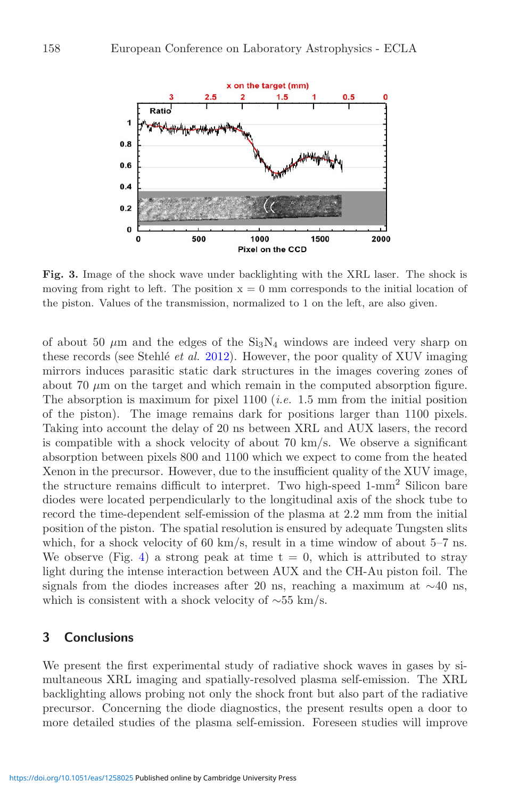<span id="page-3-0"></span>

**Fig. 3.** Image of the shock wave under backlighting with the XRL laser. The shock is moving from right to left. The position  $x = 0$  mm corresponds to the initial location of the piston. Values of the transmission, normalized to 1 on the left, are also given.

of about 50  $\mu$ m and the edges of the Si<sub>3</sub>N<sub>4</sub> windows are indeed very sharp on these records (see Stehlé *et al.* [2012](#page-4-9)). However, the poor quality of XUV imaging mirrors induces parasitic static dark structures in the images covering zones of about 70  $\mu$ m on the target and which remain in the computed absorption figure. The absorption is maximum for pixel 1100 (*i.e.* 1.5 mm from the initial position of the piston). The image remains dark for positions larger than 1100 pixels. Taking into account the delay of 20 ns between XRL and AUX lasers, the record is compatible with a shock velocity of about 70 km/s. We observe a significant absorption between pixels 800 and 1100 which we expect to come from the heated Xenon in the precursor. However, due to the insufficient quality of the XUV image, the structure remains difficult to interpret. Two high-speed 1-mm<sup>2</sup> Silicon bare diodes were located perpendicularly to the longitudinal axis of the shock tube to record the time-dependent self-emission of the plasma at 2.2 mm from the initial position of the piston. The spatial resolution is ensured by adequate Tungsten slits which, for a shock velocity of 60 km/s, result in a time window of about 5–7 ns. We observe (Fig. [4\)](#page-4-12) a strong peak at time  $t = 0$ , which is attributed to stray light during the intense interaction between AUX and the CH-Au piston foil. The signals from the diodes increases after 20 ns, reaching a maximum at  $\sim$ 40 ns, which is consistent with a shock velocity of  $\sim 55$  km/s.

## **3 Conclusions**

We present the first experimental study of radiative shock waves in gases by simultaneous XRL imaging and spatially-resolved plasma self-emission. The XRL backlighting allows probing not only the shock front but also part of the radiative precursor. Concerning the diode diagnostics, the present results open a door to more detailed studies of the plasma self-emission. Foreseen studies will improve